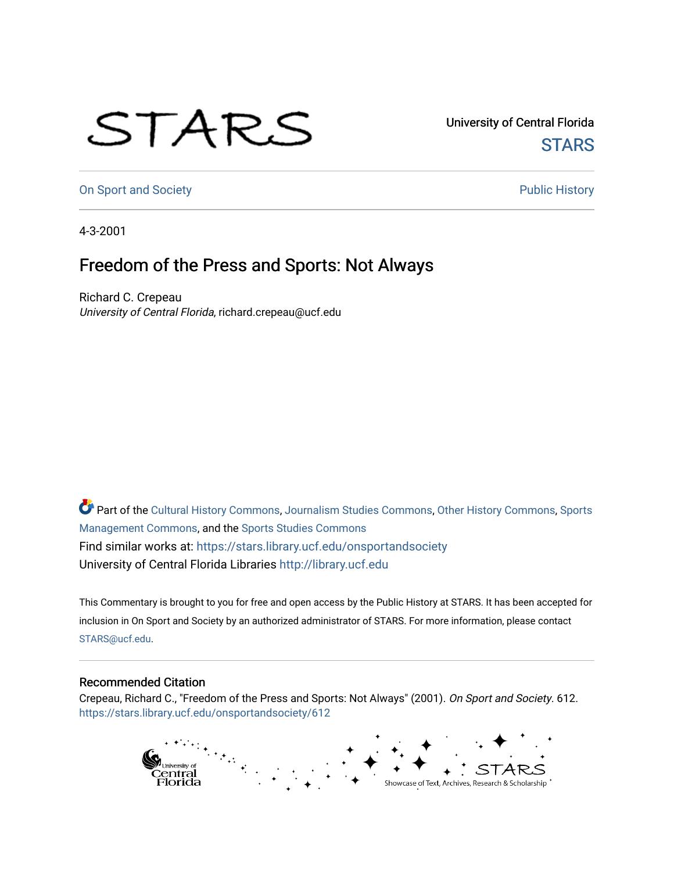## STARS

University of Central Florida **STARS** 

[On Sport and Society](https://stars.library.ucf.edu/onsportandsociety) **Public History** Public History

4-3-2001

## Freedom of the Press and Sports: Not Always

Richard C. Crepeau University of Central Florida, richard.crepeau@ucf.edu

Part of the [Cultural History Commons](http://network.bepress.com/hgg/discipline/496?utm_source=stars.library.ucf.edu%2Fonsportandsociety%2F612&utm_medium=PDF&utm_campaign=PDFCoverPages), [Journalism Studies Commons,](http://network.bepress.com/hgg/discipline/333?utm_source=stars.library.ucf.edu%2Fonsportandsociety%2F612&utm_medium=PDF&utm_campaign=PDFCoverPages) [Other History Commons,](http://network.bepress.com/hgg/discipline/508?utm_source=stars.library.ucf.edu%2Fonsportandsociety%2F612&utm_medium=PDF&utm_campaign=PDFCoverPages) [Sports](http://network.bepress.com/hgg/discipline/1193?utm_source=stars.library.ucf.edu%2Fonsportandsociety%2F612&utm_medium=PDF&utm_campaign=PDFCoverPages) [Management Commons](http://network.bepress.com/hgg/discipline/1193?utm_source=stars.library.ucf.edu%2Fonsportandsociety%2F612&utm_medium=PDF&utm_campaign=PDFCoverPages), and the [Sports Studies Commons](http://network.bepress.com/hgg/discipline/1198?utm_source=stars.library.ucf.edu%2Fonsportandsociety%2F612&utm_medium=PDF&utm_campaign=PDFCoverPages) Find similar works at: <https://stars.library.ucf.edu/onsportandsociety> University of Central Florida Libraries [http://library.ucf.edu](http://library.ucf.edu/) 

This Commentary is brought to you for free and open access by the Public History at STARS. It has been accepted for inclusion in On Sport and Society by an authorized administrator of STARS. For more information, please contact [STARS@ucf.edu](mailto:STARS@ucf.edu).

## Recommended Citation

Crepeau, Richard C., "Freedom of the Press and Sports: Not Always" (2001). On Sport and Society. 612. [https://stars.library.ucf.edu/onsportandsociety/612](https://stars.library.ucf.edu/onsportandsociety/612?utm_source=stars.library.ucf.edu%2Fonsportandsociety%2F612&utm_medium=PDF&utm_campaign=PDFCoverPages)

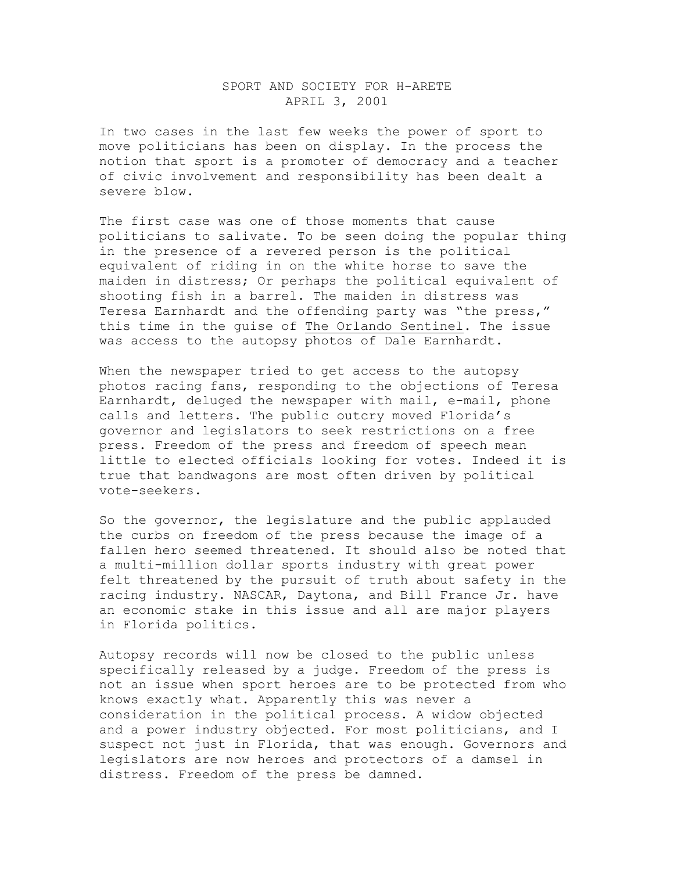## SPORT AND SOCIETY FOR H-ARETE APRIL 3, 2001

In two cases in the last few weeks the power of sport to move politicians has been on display. In the process the notion that sport is a promoter of democracy and a teacher of civic involvement and responsibility has been dealt a severe blow.

The first case was one of those moments that cause politicians to salivate. To be seen doing the popular thing in the presence of a revered person is the political equivalent of riding in on the white horse to save the maiden in distress; Or perhaps the political equivalent of shooting fish in a barrel. The maiden in distress was Teresa Earnhardt and the offending party was "the press," this time in the guise of The Orlando Sentinel. The issue was access to the autopsy photos of Dale Earnhardt.

When the newspaper tried to get access to the autopsy photos racing fans, responding to the objections of Teresa Earnhardt, deluged the newspaper with mail, e-mail, phone calls and letters. The public outcry moved Florida's governor and legislators to seek restrictions on a free press. Freedom of the press and freedom of speech mean little to elected officials looking for votes. Indeed it is true that bandwagons are most often driven by political vote-seekers.

So the governor, the legislature and the public applauded the curbs on freedom of the press because the image of a fallen hero seemed threatened. It should also be noted that a multi-million dollar sports industry with great power felt threatened by the pursuit of truth about safety in the racing industry. NASCAR, Daytona, and Bill France Jr. have an economic stake in this issue and all are major players in Florida politics.

Autopsy records will now be closed to the public unless specifically released by a judge. Freedom of the press is not an issue when sport heroes are to be protected from who knows exactly what. Apparently this was never a consideration in the political process. A widow objected and a power industry objected. For most politicians, and I suspect not just in Florida, that was enough. Governors and legislators are now heroes and protectors of a damsel in distress. Freedom of the press be damned.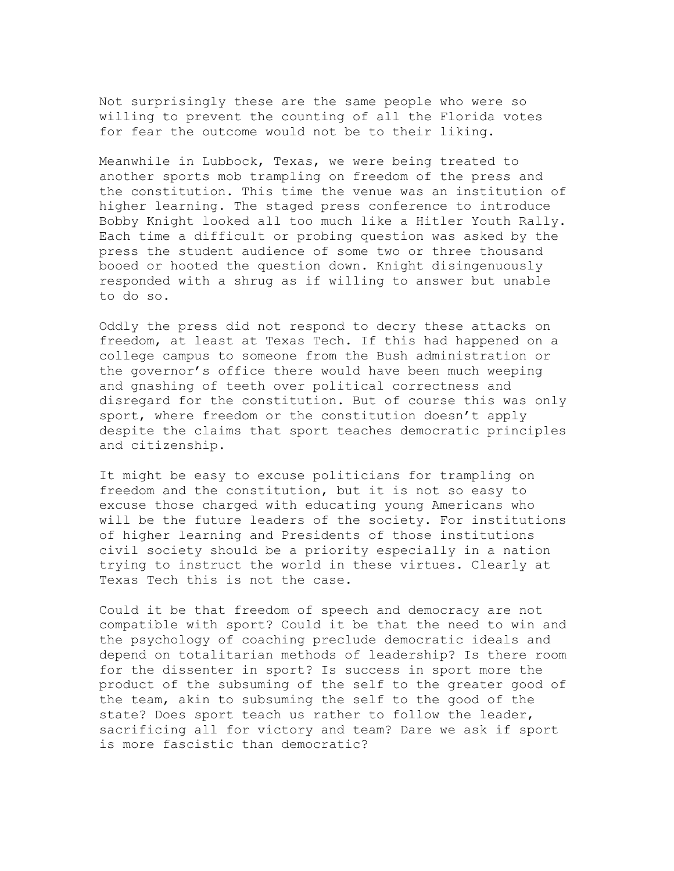Not surprisingly these are the same people who were so willing to prevent the counting of all the Florida votes for fear the outcome would not be to their liking.

Meanwhile in Lubbock, Texas, we were being treated to another sports mob trampling on freedom of the press and the constitution. This time the venue was an institution of higher learning. The staged press conference to introduce Bobby Knight looked all too much like a Hitler Youth Rally. Each time a difficult or probing question was asked by the press the student audience of some two or three thousand booed or hooted the question down. Knight disingenuously responded with a shrug as if willing to answer but unable to do so.

Oddly the press did not respond to decry these attacks on freedom, at least at Texas Tech. If this had happened on a college campus to someone from the Bush administration or the governor's office there would have been much weeping and gnashing of teeth over political correctness and disregard for the constitution. But of course this was only sport, where freedom or the constitution doesn't apply despite the claims that sport teaches democratic principles and citizenship.

It might be easy to excuse politicians for trampling on freedom and the constitution, but it is not so easy to excuse those charged with educating young Americans who will be the future leaders of the society. For institutions of higher learning and Presidents of those institutions civil society should be a priority especially in a nation trying to instruct the world in these virtues. Clearly at Texas Tech this is not the case.

Could it be that freedom of speech and democracy are not compatible with sport? Could it be that the need to win and the psychology of coaching preclude democratic ideals and depend on totalitarian methods of leadership? Is there room for the dissenter in sport? Is success in sport more the product of the subsuming of the self to the greater good of the team, akin to subsuming the self to the good of the state? Does sport teach us rather to follow the leader, sacrificing all for victory and team? Dare we ask if sport is more fascistic than democratic?